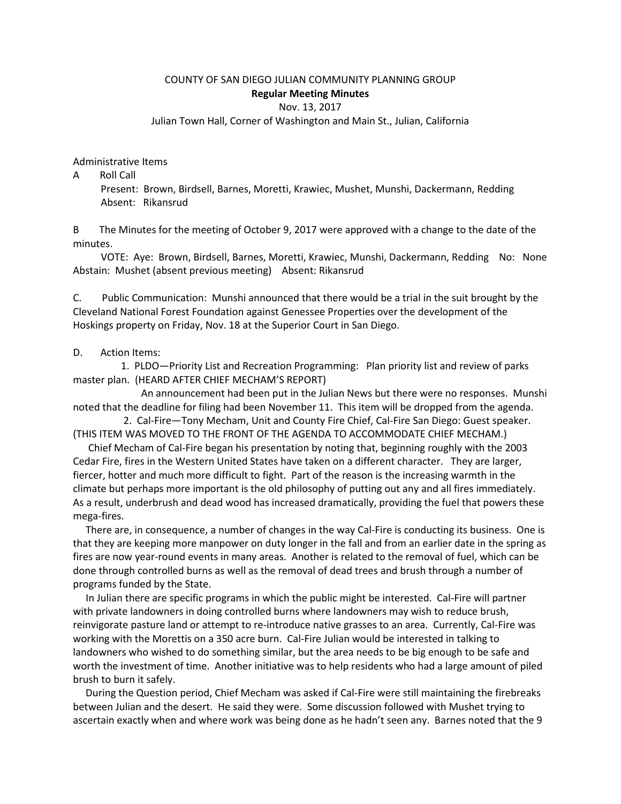## COUNTY OF SAN DIEGO JULIAN COMMUNITY PLANNING GROUP **Regular Meeting Minutes**

Nov. 13, 2017

Julian Town Hall, Corner of Washington and Main St., Julian, California

Administrative Items

A Roll Call Present: Brown, Birdsell, Barnes, Moretti, Krawiec, Mushet, Munshi, Dackermann, Redding Absent: Rikansrud

B The Minutes for the meeting of October 9, 2017 were approved with a change to the date of the minutes.

 VOTE: Aye: Brown, Birdsell, Barnes, Moretti, Krawiec, Munshi, Dackermann, Redding No: None Abstain: Mushet (absent previous meeting) Absent: Rikansrud

C. Public Communication: Munshi announced that there would be a trial in the suit brought by the Cleveland National Forest Foundation against Genessee Properties over the development of the Hoskings property on Friday, Nov. 18 at the Superior Court in San Diego.

## D. Action Items:

 1. PLDO—Priority List and Recreation Programming: Plan priority list and review of parks master plan. (HEARD AFTER CHIEF MECHAM'S REPORT)

 An announcement had been put in the Julian News but there were no responses. Munshi noted that the deadline for filing had been November 11. This item will be dropped from the agenda.

 2. Cal-Fire—Tony Mecham, Unit and County Fire Chief, Cal-Fire San Diego: Guest speaker. (THIS ITEM WAS MOVED TO THE FRONT OF THE AGENDA TO ACCOMMODATE CHIEF MECHAM.)

 Chief Mecham of Cal-Fire began his presentation by noting that, beginning roughly with the 2003 Cedar Fire, fires in the Western United States have taken on a different character. They are larger, fiercer, hotter and much more difficult to fight. Part of the reason is the increasing warmth in the climate but perhaps more important is the old philosophy of putting out any and all fires immediately. As a result, underbrush and dead wood has increased dramatically, providing the fuel that powers these mega-fires.

 There are, in consequence, a number of changes in the way Cal-Fire is conducting its business. One is that they are keeping more manpower on duty longer in the fall and from an earlier date in the spring as fires are now year-round events in many areas. Another is related to the removal of fuel, which can be done through controlled burns as well as the removal of dead trees and brush through a number of programs funded by the State.

 In Julian there are specific programs in which the public might be interested. Cal-Fire will partner with private landowners in doing controlled burns where landowners may wish to reduce brush, reinvigorate pasture land or attempt to re-introduce native grasses to an area. Currently, Cal-Fire was working with the Morettis on a 350 acre burn. Cal-Fire Julian would be interested in talking to landowners who wished to do something similar, but the area needs to be big enough to be safe and worth the investment of time. Another initiative was to help residents who had a large amount of piled brush to burn it safely.

 During the Question period, Chief Mecham was asked if Cal-Fire were still maintaining the firebreaks between Julian and the desert. He said they were. Some discussion followed with Mushet trying to ascertain exactly when and where work was being done as he hadn't seen any. Barnes noted that the 9